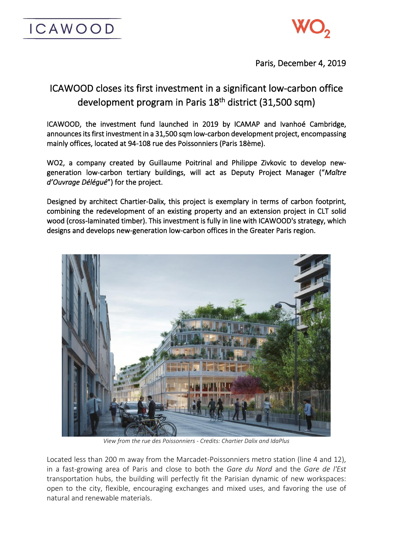



Paris, December 4, 2019

# ICAWOOD closes its first investment in a significant low-carbon office development program in Paris 18<sup>th</sup> district (31,500 sqm)

ICAWOOD, the investment fund launched in 2019 by ICAMAP and Ivanhoé Cambridge, announces its first investment in a 31,500 sqm low-carbon development project, encompassing mainly offices, located at 94-108 rue des Poissonniers (Paris 18ème).

WO2, a company created by Guillaume Poitrinal and Philippe Zivkovic to develop newgeneration low-carbon tertiary buildings, will act as Deputy Project Manager ("*Maître d'Ouvrage Délégué*") for the project.

Designed by architect Chartier-Dalix, this project is exemplary in terms of carbon footprint, combining the redevelopment of an existing property and an extension project in CLT solid wood (cross-laminated timber). This investment is fully in line with ICAWOOD's strategy, which designs and develops new-generation low-carbon offices in the Greater Paris region.



*View from the rue des Poissonniers - Credits: Chartier Dalix and IdaPlus*

Located less than 200 m away from the Marcadet-Poissonniers metro station (line 4 and 12), in a fast-growing area of Paris and close to both the *Gare du Nord* and the *Gare de l'Est* transportation hubs, the building will perfectly fit the Parisian dynamic of new workspaces: open to the city, flexible, encouraging exchanges and mixed uses, and favoring the use of natural and renewable materials.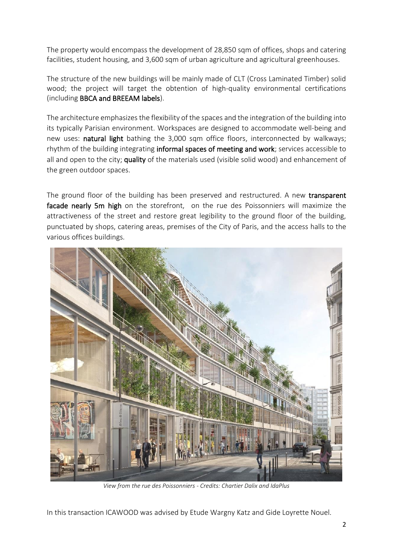The property would encompass the development of 28,850 sqm of offices, shops and catering facilities, student housing, and 3,600 sqm of urban agriculture and agricultural greenhouses.

The structure of the new buildings will be mainly made of CLT (Cross Laminated Timber) solid wood; the project will target the obtention of high-quality environmental certifications (including BBCA and BREEAM labels).

The architecture emphasizes the flexibility of the spaces and the integration of the building into its typically Parisian environment. Workspaces are designed to accommodate well-being and new uses: natural light bathing the 3,000 sqm office floors, interconnected by walkways; rhythm of the building integrating informal spaces of meeting and work; services accessible to all and open to the city; quality of the materials used (visible solid wood) and enhancement of the green outdoor spaces.

The ground floor of the building has been preserved and restructured. A new transparent facade nearly 5m high on the storefront, on the rue des Poissonniers will maximize the attractiveness of the street and restore great legibility to the ground floor of the building, punctuated by shops, catering areas, premises of the City of Paris, and the access halls to the various offices buildings.



*View from the rue des Poissonniers - Credits: Chartier Dalix and IdaPlus*

In this transaction ICAWOOD was advised by Etude Wargny Katz and Gide Loyrette Nouel.